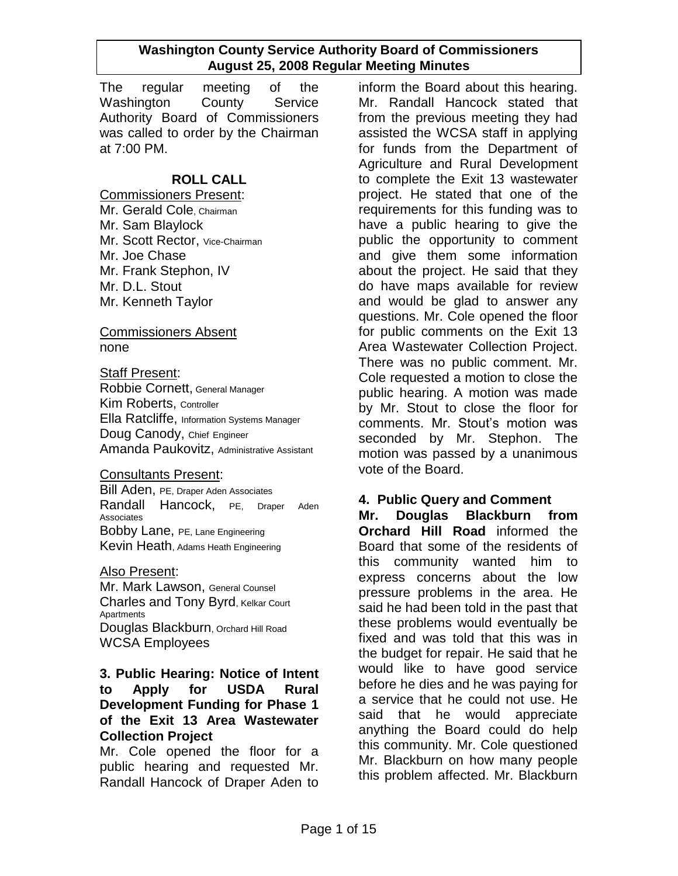The regular meeting of the Washington County Service Authority Board of Commissioners was called to order by the Chairman at 7:00 PM.

## **ROLL CALL**

Commissioners Present: Mr. Gerald Cole, Chairman Mr. Sam Blaylock Mr. Scott Rector, Vice-Chairman Mr. Joe Chase Mr. Frank Stephon, IV Mr. D.L. Stout Mr. Kenneth Taylor

#### Commissioners Absent none

#### Staff Present:

Robbie Cornett, General Manager Kim Roberts, Controller Ella Ratcliffe, Information Systems Manager Doug Canody, Chief Engineer Amanda Paukovitz, Administrative Assistant

#### Consultants Present:

Bill Aden, PE, Draper Aden Associates Randall Hancock, PE, Draper Aden Associates Bobby Lane, PE, Lane Engineering Kevin Heath, Adams Heath Engineering

#### Also Present:

Mr. Mark Lawson, General Counsel Charles and Tony Byrd, Kelkar Court Apartments Douglas Blackburn, Orchard Hill Road WCSA Employees

### **3. Public Hearing: Notice of Intent to Apply for USDA Rural Development Funding for Phase 1 of the Exit 13 Area Wastewater Collection Project**

Mr. Cole opened the floor for a public hearing and requested Mr. Randall Hancock of Draper Aden to inform the Board about this hearing. Mr. Randall Hancock stated that from the previous meeting they had assisted the WCSA staff in applying for funds from the Department of Agriculture and Rural Development to complete the Exit 13 wastewater project. He stated that one of the requirements for this funding was to have a public hearing to give the public the opportunity to comment and give them some information about the project. He said that they do have maps available for review and would be glad to answer any questions. Mr. Cole opened the floor for public comments on the Exit 13 Area Wastewater Collection Project. There was no public comment. Mr. Cole requested a motion to close the public hearing. A motion was made by Mr. Stout to close the floor for comments. Mr. Stout"s motion was seconded by Mr. Stephon. The motion was passed by a unanimous vote of the Board.

## **4. Public Query and Comment**

**Mr. Douglas Blackburn from Orchard Hill Road** informed the Board that some of the residents of this community wanted him to express concerns about the low pressure problems in the area. He said he had been told in the past that these problems would eventually be fixed and was told that this was in the budget for repair. He said that he would like to have good service before he dies and he was paying for a service that he could not use. He said that he would appreciate anything the Board could do help this community. Mr. Cole questioned Mr. Blackburn on how many people this problem affected. Mr. Blackburn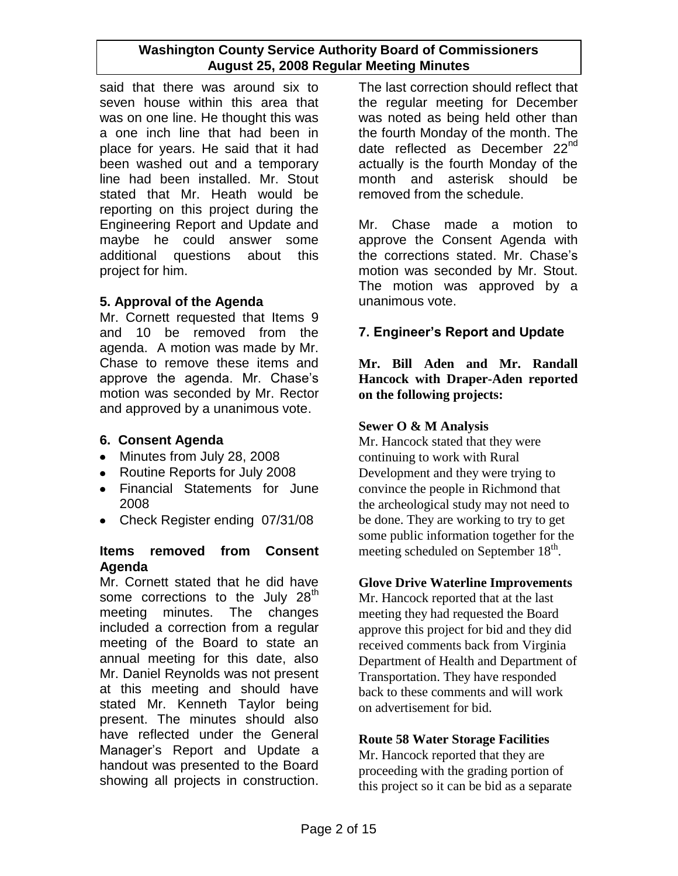said that there was around six to seven house within this area that was on one line. He thought this was a one inch line that had been in place for years. He said that it had been washed out and a temporary line had been installed. Mr. Stout stated that Mr. Heath would be reporting on this project during the Engineering Report and Update and maybe he could answer some additional questions about this project for him.

## **5. Approval of the Agenda**

Mr. Cornett requested that Items 9 and 10 be removed from the agenda. A motion was made by Mr. Chase to remove these items and approve the agenda. Mr. Chase"s motion was seconded by Mr. Rector and approved by a unanimous vote.

## **6. Consent Agenda**

- Minutes from July 28, 2008
- Routine Reports for July 2008
- Financial Statements for June 2008
- Check Register ending 07/31/08

## **Items removed from Consent Agenda**

Mr. Cornett stated that he did have some corrections to the July  $28<sup>th</sup>$ meeting minutes. The changes included a correction from a regular meeting of the Board to state an annual meeting for this date, also Mr. Daniel Reynolds was not present at this meeting and should have stated Mr. Kenneth Taylor being present. The minutes should also have reflected under the General Manager"s Report and Update a handout was presented to the Board showing all projects in construction.

The last correction should reflect that the regular meeting for December was noted as being held other than the fourth Monday of the month. The date reflected as December 22<sup>nd</sup> actually is the fourth Monday of the month and asterisk should be removed from the schedule.

Mr. Chase made a motion to approve the Consent Agenda with the corrections stated. Mr. Chase's motion was seconded by Mr. Stout. The motion was approved by a unanimous vote.

# **7. Engineer's Report and Update**

**Mr. Bill Aden and Mr. Randall Hancock with Draper-Aden reported on the following projects:**

## **Sewer O & M Analysis**

Mr. Hancock stated that they were continuing to work with Rural Development and they were trying to convince the people in Richmond that the archeological study may not need to be done. They are working to try to get some public information together for the meeting scheduled on September 18<sup>th</sup>.

## **Glove Drive Waterline Improvements**

Mr. Hancock reported that at the last meeting they had requested the Board approve this project for bid and they did received comments back from Virginia Department of Health and Department of Transportation. They have responded back to these comments and will work on advertisement for bid.

## **Route 58 Water Storage Facilities**

Mr. Hancock reported that they are proceeding with the grading portion of this project so it can be bid as a separate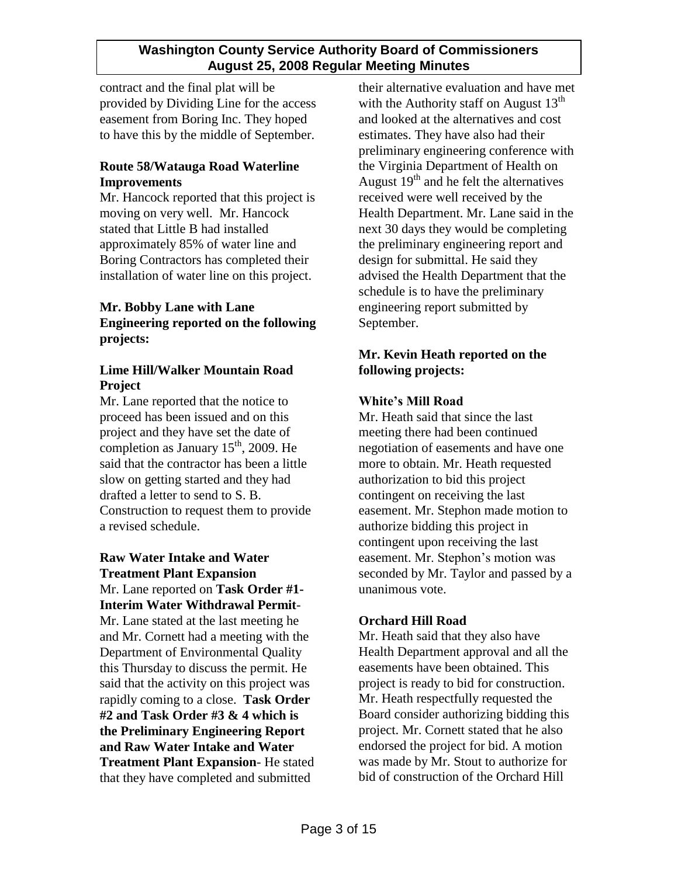contract and the final plat will be provided by Dividing Line for the access easement from Boring Inc. They hoped to have this by the middle of September.

## **Route 58/Watauga Road Waterline Improvements**

Mr. Hancock reported that this project is moving on very well. Mr. Hancock stated that Little B had installed approximately 85% of water line and Boring Contractors has completed their installation of water line on this project.

## **Mr. Bobby Lane with Lane Engineering reported on the following projects:**

## **Lime Hill/Walker Mountain Road Project**

Mr. Lane reported that the notice to proceed has been issued and on this project and they have set the date of completion as January  $15<sup>th</sup>$ , 2009. He said that the contractor has been a little slow on getting started and they had drafted a letter to send to S. B. Construction to request them to provide a revised schedule.

# **Raw Water Intake and Water Treatment Plant Expansion**

Mr. Lane reported on **Task Order #1- Interim Water Withdrawal Permit**-Mr. Lane stated at the last meeting he and Mr. Cornett had a meeting with the Department of Environmental Quality this Thursday to discuss the permit. He said that the activity on this project was rapidly coming to a close. **Task Order #2 and Task Order #3 & 4 which is the Preliminary Engineering Report and Raw Water Intake and Water Treatment Plant Expansion**- He stated that they have completed and submitted

their alternative evaluation and have met with the Authority staff on August  $13<sup>th</sup>$ and looked at the alternatives and cost estimates. They have also had their preliminary engineering conference with the Virginia Department of Health on August  $19<sup>th</sup>$  and he felt the alternatives received were well received by the Health Department. Mr. Lane said in the next 30 days they would be completing the preliminary engineering report and design for submittal. He said they advised the Health Department that the schedule is to have the preliminary engineering report submitted by September.

## **Mr. Kevin Heath reported on the following projects:**

# **White's Mill Road**

Mr. Heath said that since the last meeting there had been continued negotiation of easements and have one more to obtain. Mr. Heath requested authorization to bid this project contingent on receiving the last easement. Mr. Stephon made motion to authorize bidding this project in contingent upon receiving the last easement. Mr. Stephon's motion was seconded by Mr. Taylor and passed by a unanimous vote.

## **Orchard Hill Road**

Mr. Heath said that they also have Health Department approval and all the easements have been obtained. This project is ready to bid for construction. Mr. Heath respectfully requested the Board consider authorizing bidding this project. Mr. Cornett stated that he also endorsed the project for bid. A motion was made by Mr. Stout to authorize for bid of construction of the Orchard Hill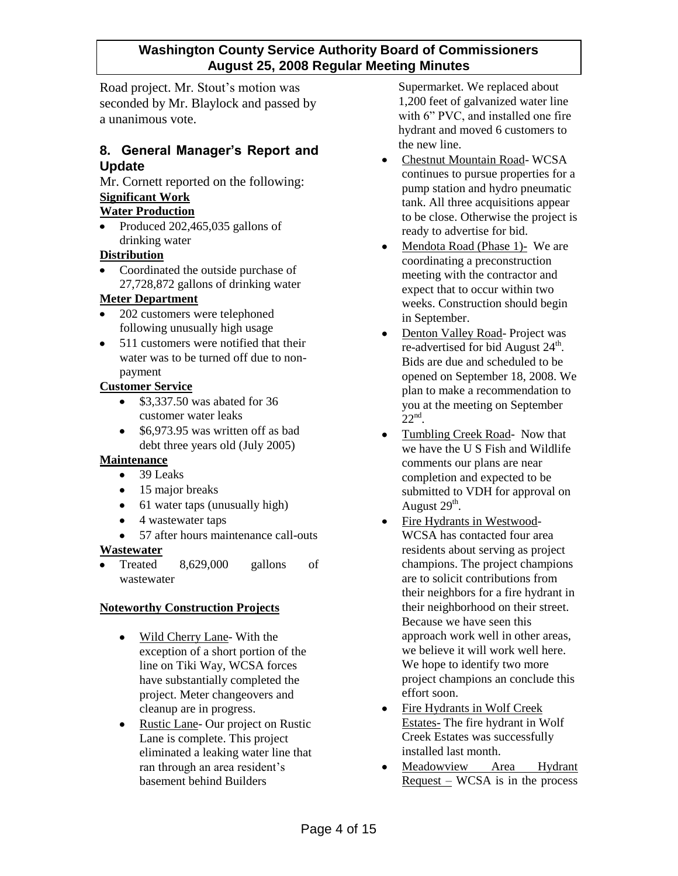Road project. Mr. Stout's motion was seconded by Mr. Blaylock and passed by a unanimous vote.

## **8. General Manager's Report and Update**

Mr. Cornett reported on the following: **Significant Work**

### **Water Production**

• Produced 202,465,035 gallons of drinking water

## **Distribution**

• Coordinated the outside purchase of 27,728,872 gallons of drinking water

#### **Meter Department**

- 202 customers were telephoned  $\bullet$ following unusually high usage
- 511 customers were notified that their water was to be turned off due to nonpayment

#### **Customer Service**

- $\bullet$  \$3,337.50 was abated for 36 customer water leaks
- \$6,973.95 was written off as bad debt three years old (July 2005)

#### **Maintenance**

- $\bullet$  39 Leaks
- 15 major breaks
- 61 water taps (unusually high)
- 4 wastewater taps
- 57 after hours maintenance call-outs

#### **Wastewater**

Treated 8,629,000 gallons of wastewater

## **Noteworthy Construction Projects**

- $\bullet$ Wild Cherry Lane- With the exception of a short portion of the line on Tiki Way, WCSA forces have substantially completed the project. Meter changeovers and cleanup are in progress.
- Rustic Lane- Our project on Rustic Lane is complete. This project eliminated a leaking water line that ran through an area resident's basement behind Builders

Supermarket. We replaced about 1,200 feet of galvanized water line with 6" PVC, and installed one fire hydrant and moved 6 customers to the new line.

- Chestnut Mountain Road- WCSA continues to pursue properties for a pump station and hydro pneumatic tank. All three acquisitions appear to be close. Otherwise the project is ready to advertise for bid.
- Mendota Road (Phase 1)- We are coordinating a preconstruction meeting with the contractor and expect that to occur within two weeks. Construction should begin in September.
- Denton Valley Road- Project was re-advertised for bid August 24<sup>th</sup>. Bids are due and scheduled to be opened on September 18, 2008. We plan to make a recommendation to you at the meeting on September  $22<sup>nd</sup>$ .
- Tumbling Creek Road- Now that we have the U S Fish and Wildlife comments our plans are near completion and expected to be submitted to VDH for approval on August  $29<sup>th</sup>$ .
- Fire Hydrants in Westwood- $\bullet$ WCSA has contacted four area residents about serving as project champions. The project champions are to solicit contributions from their neighbors for a fire hydrant in their neighborhood on their street. Because we have seen this approach work well in other areas, we believe it will work well here. We hope to identify two more project champions an conclude this effort soon.
- Fire Hydrants in Wolf Creek Estates- The fire hydrant in Wolf Creek Estates was successfully installed last month.
- Meadowview Area Hydrant  $\bullet$  $Request - WCSA$  is in the process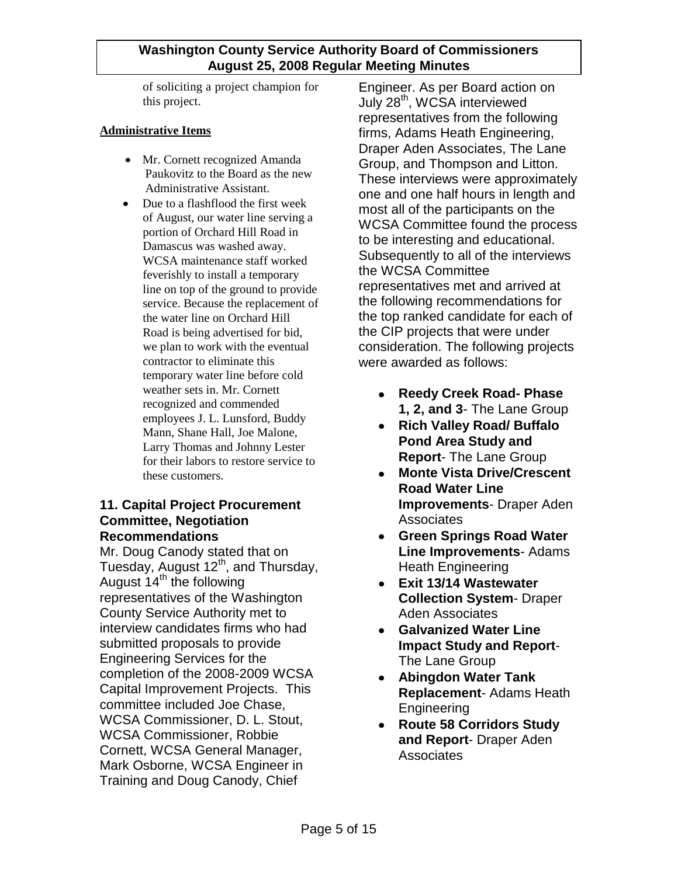of soliciting a project champion for this project.

#### **Administrative Items**

- Mr. Cornett recognized Amanda Paukovitz to the Board as the new Administrative Assistant.
- $\bullet$ Due to a flashflood the first week of August, our water line serving a portion of Orchard Hill Road in Damascus was washed away. WCSA maintenance staff worked feverishly to install a temporary line on top of the ground to provide service. Because the replacement of the water line on Orchard Hill Road is being advertised for bid, we plan to work with the eventual contractor to eliminate this temporary water line before cold weather sets in. Mr. Cornett recognized and commended employees J. L. Lunsford, Buddy Mann, Shane Hall, Joe Malone, Larry Thomas and Johnny Lester for their labors to restore service to these customers.

## **11. Capital Project Procurement Committee, Negotiation Recommendations**

Mr. Doug Canody stated that on Tuesday, August  $12<sup>th</sup>$ , and Thursday, August  $14<sup>th</sup>$  the following representatives of the Washington County Service Authority met to interview candidates firms who had submitted proposals to provide Engineering Services for the completion of the 2008-2009 WCSA Capital Improvement Projects. This committee included Joe Chase, WCSA Commissioner, D. L. Stout, WCSA Commissioner, Robbie Cornett, WCSA General Manager, Mark Osborne, WCSA Engineer in Training and Doug Canody, Chief

Engineer. As per Board action on July 28<sup>th</sup>, WCSA interviewed representatives from the following firms, Adams Heath Engineering, Draper Aden Associates, The Lane Group, and Thompson and Litton. These interviews were approximately one and one half hours in length and most all of the participants on the WCSA Committee found the process to be interesting and educational. Subsequently to all of the interviews the WCSA Committee representatives met and arrived at the following recommendations for the top ranked candidate for each of the CIP projects that were under consideration. The following projects were awarded as follows:

- **Reedy Creek Road- Phase**   $\bullet$ **1, 2, and 3**- The Lane Group
- **Rich Valley Road/ Buffalo Pond Area Study and Report**- The Lane Group
- **Monte Vista Drive/Crescent**   $\bullet$ **Road Water Line Improvements**- Draper Aden **Associates**
- **Green Springs Road Water Line Improvements**- Adams Heath Engineering
- **Exit 13/14 Wastewater Collection System**- Draper Aden Associates
- **Galvanized Water Line Impact Study and Report**-The Lane Group
- **Abingdon Water Tank**   $\bullet$ **Replacement**- Adams Heath Engineering
- **Route 58 Corridors Study and Report**- Draper Aden **Associates**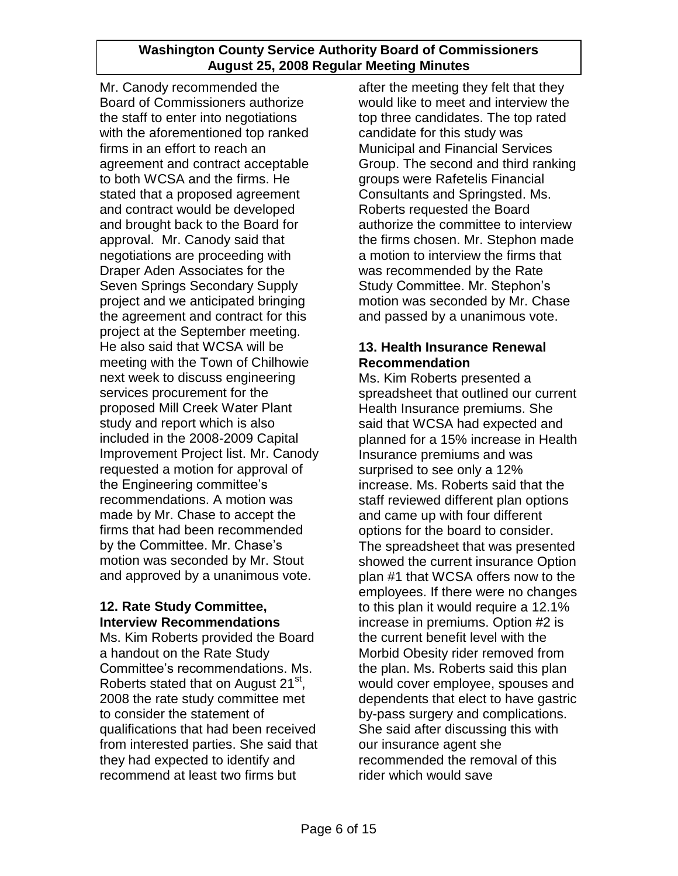Mr. Canody recommended the Board of Commissioners authorize the staff to enter into negotiations with the aforementioned top ranked firms in an effort to reach an agreement and contract acceptable to both WCSA and the firms. He stated that a proposed agreement and contract would be developed and brought back to the Board for approval. Mr. Canody said that negotiations are proceeding with Draper Aden Associates for the Seven Springs Secondary Supply project and we anticipated bringing the agreement and contract for this project at the September meeting. He also said that WCSA will be meeting with the Town of Chilhowie next week to discuss engineering services procurement for the proposed Mill Creek Water Plant study and report which is also included in the 2008-2009 Capital Improvement Project list. Mr. Canody requested a motion for approval of the Engineering committee"s recommendations. A motion was made by Mr. Chase to accept the firms that had been recommended by the Committee. Mr. Chase's motion was seconded by Mr. Stout and approved by a unanimous vote.

## **12. Rate Study Committee, Interview Recommendations**

Ms. Kim Roberts provided the Board a handout on the Rate Study Committee"s recommendations. Ms. Roberts stated that on August 21<sup>st</sup>, 2008 the rate study committee met to consider the statement of qualifications that had been received from interested parties. She said that they had expected to identify and recommend at least two firms but

after the meeting they felt that they would like to meet and interview the top three candidates. The top rated candidate for this study was Municipal and Financial Services Group. The second and third ranking groups were Rafetelis Financial Consultants and Springsted. Ms. Roberts requested the Board authorize the committee to interview the firms chosen. Mr. Stephon made a motion to interview the firms that was recommended by the Rate Study Committee. Mr. Stephon"s motion was seconded by Mr. Chase and passed by a unanimous vote.

## **13. Health Insurance Renewal Recommendation**

Ms. Kim Roberts presented a spreadsheet that outlined our current Health Insurance premiums. She said that WCSA had expected and planned for a 15% increase in Health Insurance premiums and was surprised to see only a 12% increase. Ms. Roberts said that the staff reviewed different plan options and came up with four different options for the board to consider. The spreadsheet that was presented showed the current insurance Option plan #1 that WCSA offers now to the employees. If there were no changes to this plan it would require a 12.1% increase in premiums. Option #2 is the current benefit level with the Morbid Obesity rider removed from the plan. Ms. Roberts said this plan would cover employee, spouses and dependents that elect to have gastric by-pass surgery and complications. She said after discussing this with our insurance agent she recommended the removal of this rider which would save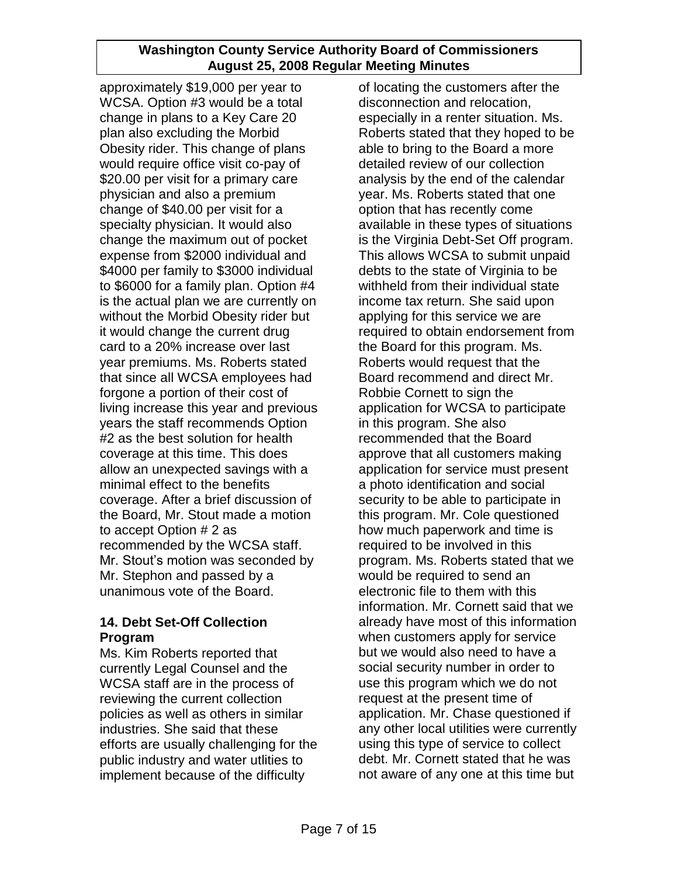approximately \$19,000 per year to WCSA. Option #3 would be a total change in plans to a Key Care 20 plan also excluding the Morbid Obesity rider. This change of plans would require office visit co-pay of \$20.00 per visit for a primary care physician and also a premium change of \$40.00 per visit for a specialty physician. It would also change the maximum out of pocket expense from \$2000 individual and \$4000 per family to \$3000 individual to \$6000 for a family plan. Option #4 is the actual plan we are currently on without the Morbid Obesity rider but it would change the current drug card to a 20% increase over last year premiums. Ms. Roberts stated that since all WCSA employees had forgone a portion of their cost of living increase this year and previous years the staff recommends Option #2 as the best solution for health coverage at this time. This does allow an unexpected savings with a minimal effect to the benefits coverage. After a brief discussion of the Board, Mr. Stout made a motion to accept Option # 2 as recommended by the WCSA staff. Mr. Stout"s motion was seconded by Mr. Stephon and passed by a unanimous vote of the Board.

## **14. Debt Set-Off Collection Program**

Ms. Kim Roberts reported that currently Legal Counsel and the WCSA staff are in the process of reviewing the current collection policies as well as others in similar industries. She said that these efforts are usually challenging for the public industry and water utlities to implement because of the difficulty

of locating the customers after the disconnection and relocation, especially in a renter situation. Ms. Roberts stated that they hoped to be able to bring to the Board a more detailed review of our collection analysis by the end of the calendar year. Ms. Roberts stated that one option that has recently come available in these types of situations is the Virginia Debt-Set Off program. This allows WCSA to submit unpaid debts to the state of Virginia to be withheld from their individual state income tax return. She said upon applying for this service we are required to obtain endorsement from the Board for this program. Ms. Roberts would request that the Board recommend and direct Mr. Robbie Cornett to sign the application for WCSA to participate in this program. She also recommended that the Board approve that all customers making application for service must present a photo identification and social security to be able to participate in this program. Mr. Cole questioned how much paperwork and time is required to be involved in this program. Ms. Roberts stated that we would be required to send an electronic file to them with this information. Mr. Cornett said that we already have most of this information when customers apply for service but we would also need to have a social security number in order to use this program which we do not request at the present time of application. Mr. Chase questioned if any other local utilities were currently using this type of service to collect debt. Mr. Cornett stated that he was not aware of any one at this time but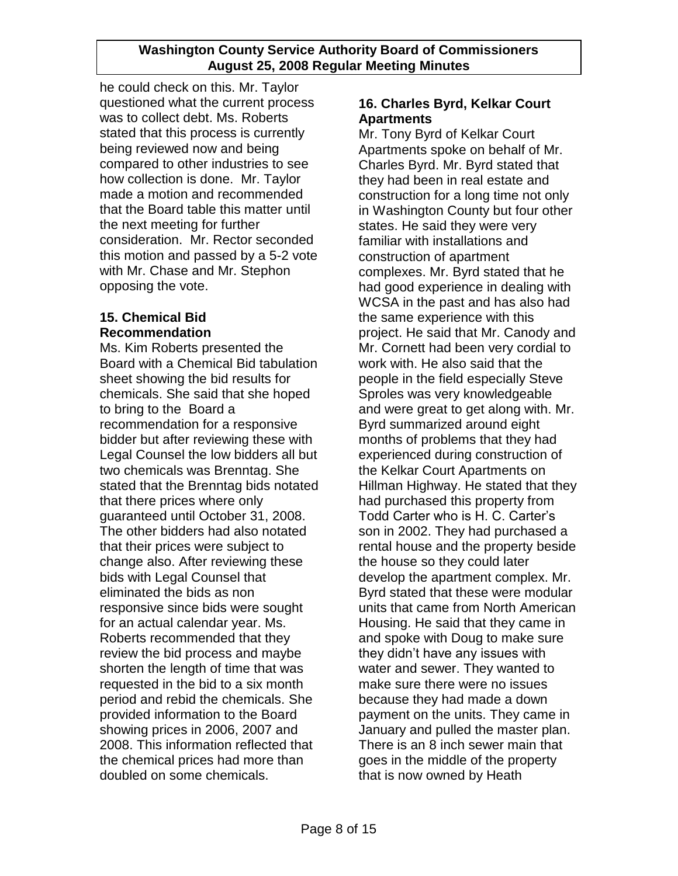he could check on this. Mr. Taylor questioned what the current process was to collect debt. Ms. Roberts stated that this process is currently being reviewed now and being compared to other industries to see how collection is done. Mr. Taylor made a motion and recommended that the Board table this matter until the next meeting for further consideration. Mr. Rector seconded this motion and passed by a 5-2 vote with Mr. Chase and Mr. Stephon opposing the vote.

# **15. Chemical Bid Recommendation**

Ms. Kim Roberts presented the Board with a Chemical Bid tabulation sheet showing the bid results for chemicals. She said that she hoped to bring to the Board a recommendation for a responsive bidder but after reviewing these with Legal Counsel the low bidders all but two chemicals was Brenntag. She stated that the Brenntag bids notated that there prices where only guaranteed until October 31, 2008. The other bidders had also notated that their prices were subject to change also. After reviewing these bids with Legal Counsel that eliminated the bids as non responsive since bids were sought for an actual calendar year. Ms. Roberts recommended that they review the bid process and maybe shorten the length of time that was requested in the bid to a six month period and rebid the chemicals. She provided information to the Board showing prices in 2006, 2007 and 2008. This information reflected that the chemical prices had more than doubled on some chemicals.

# **16. Charles Byrd, Kelkar Court Apartments**

Mr. Tony Byrd of Kelkar Court Apartments spoke on behalf of Mr. Charles Byrd. Mr. Byrd stated that they had been in real estate and construction for a long time not only in Washington County but four other states. He said they were very familiar with installations and construction of apartment complexes. Mr. Byrd stated that he had good experience in dealing with WCSA in the past and has also had the same experience with this project. He said that Mr. Canody and Mr. Cornett had been very cordial to work with. He also said that the people in the field especially Steve Sproles was very knowledgeable and were great to get along with. Mr. Byrd summarized around eight months of problems that they had experienced during construction of the Kelkar Court Apartments on Hillman Highway. He stated that they had purchased this property from Todd Carter who is H. C. Carter"s son in 2002. They had purchased a rental house and the property beside the house so they could later develop the apartment complex. Mr. Byrd stated that these were modular units that came from North American Housing. He said that they came in and spoke with Doug to make sure they didn"t have any issues with water and sewer. They wanted to make sure there were no issues because they had made a down payment on the units. They came in January and pulled the master plan. There is an 8 inch sewer main that goes in the middle of the property that is now owned by Heath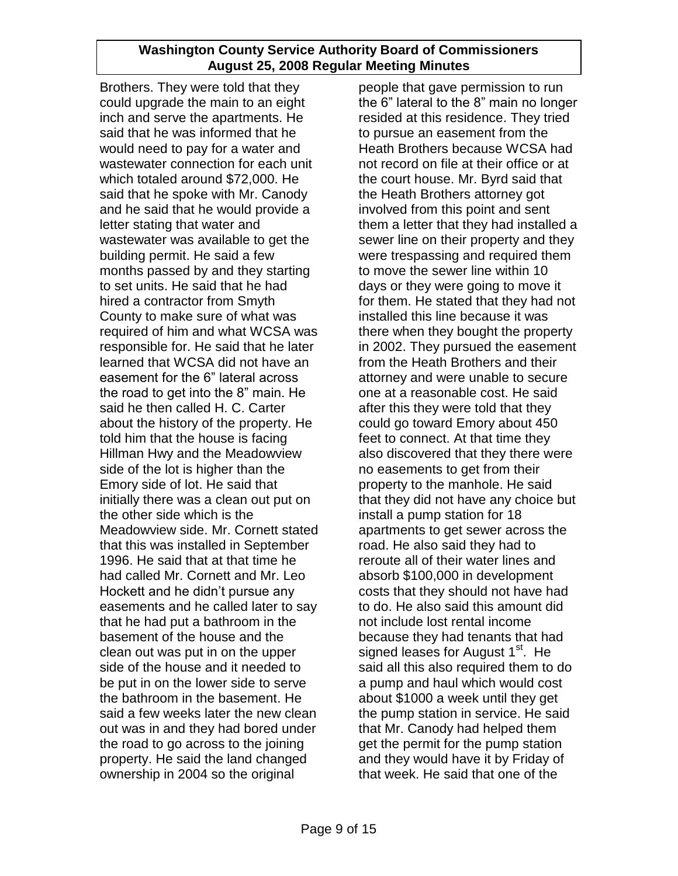Brothers. They were told that they could upgrade the main to an eight inch and serve the apartments. He said that he was informed that he would need to pay for a water and wastewater connection for each unit which totaled around \$72,000. He said that he spoke with Mr. Canody and he said that he would provide a letter stating that water and wastewater was available to get the building permit. He said a few months passed by and they starting to set units. He said that he had hired a contractor from Smyth County to make sure of what was required of him and what WCSA was responsible for. He said that he later learned that WCSA did not have an easement for the 6" lateral across the road to get into the 8" main. He said he then called H. C. Carter about the history of the property. He told him that the house is facing Hillman Hwy and the Meadowview side of the lot is higher than the Emory side of lot. He said that initially there was a clean out put on the other side which is the Meadowview side. Mr. Cornett stated that this was installed in September 1996. He said that at that time he had called Mr. Cornett and Mr. Leo Hockett and he didn"t pursue any easements and he called later to say that he had put a bathroom in the basement of the house and the clean out was put in on the upper side of the house and it needed to be put in on the lower side to serve the bathroom in the basement. He said a few weeks later the new clean out was in and they had bored under the road to go across to the joining property. He said the land changed ownership in 2004 so the original

people that gave permission to run the 6" lateral to the 8" main no longer resided at this residence. They tried to pursue an easement from the Heath Brothers because WCSA had not record on file at their office or at the court house. Mr. Byrd said that the Heath Brothers attorney got involved from this point and sent them a letter that they had installed a sewer line on their property and they were trespassing and required them to move the sewer line within 10 days or they were going to move it for them. He stated that they had not installed this line because it was there when they bought the property in 2002. They pursued the easement from the Heath Brothers and their attorney and were unable to secure one at a reasonable cost. He said after this they were told that they could go toward Emory about 450 feet to connect. At that time they also discovered that they there were no easements to get from their property to the manhole. He said that they did not have any choice but install a pump station for 18 apartments to get sewer across the road. He also said they had to reroute all of their water lines and absorb \$100,000 in development costs that they should not have had to do. He also said this amount did not include lost rental income because they had tenants that had signed leases for August 1<sup>st</sup>. He said all this also required them to do a pump and haul which would cost about \$1000 a week until they get the pump station in service. He said that Mr. Canody had helped them get the permit for the pump station and they would have it by Friday of that week. He said that one of the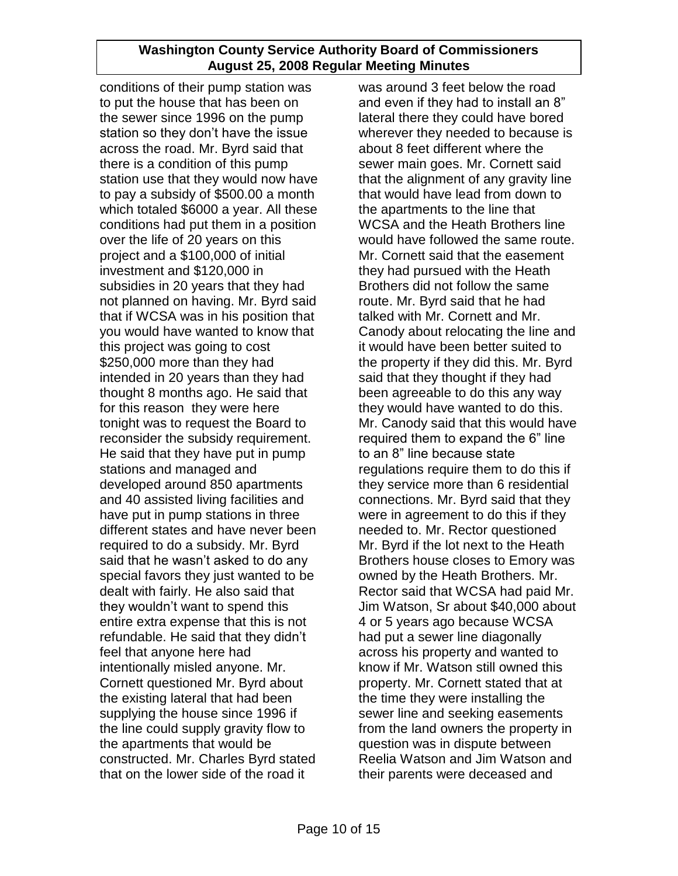conditions of their pump station was to put the house that has been on the sewer since 1996 on the pump station so they don"t have the issue across the road. Mr. Byrd said that there is a condition of this pump station use that they would now have to pay a subsidy of \$500.00 a month which totaled \$6000 a year. All these conditions had put them in a position over the life of 20 years on this project and a \$100,000 of initial investment and \$120,000 in subsidies in 20 years that they had not planned on having. Mr. Byrd said that if WCSA was in his position that you would have wanted to know that this project was going to cost \$250,000 more than they had intended in 20 years than they had thought 8 months ago. He said that for this reason they were here tonight was to request the Board to reconsider the subsidy requirement. He said that they have put in pump stations and managed and developed around 850 apartments and 40 assisted living facilities and have put in pump stations in three different states and have never been required to do a subsidy. Mr. Byrd said that he wasn't asked to do any special favors they just wanted to be dealt with fairly. He also said that they wouldn"t want to spend this entire extra expense that this is not refundable. He said that they didn"t feel that anyone here had intentionally misled anyone. Mr. Cornett questioned Mr. Byrd about the existing lateral that had been supplying the house since 1996 if the line could supply gravity flow to the apartments that would be constructed. Mr. Charles Byrd stated that on the lower side of the road it

was around 3 feet below the road and even if they had to install an 8" lateral there they could have bored wherever they needed to because is about 8 feet different where the sewer main goes. Mr. Cornett said that the alignment of any gravity line that would have lead from down to the apartments to the line that WCSA and the Heath Brothers line would have followed the same route. Mr. Cornett said that the easement they had pursued with the Heath Brothers did not follow the same route. Mr. Byrd said that he had talked with Mr. Cornett and Mr. Canody about relocating the line and it would have been better suited to the property if they did this. Mr. Byrd said that they thought if they had been agreeable to do this any way they would have wanted to do this. Mr. Canody said that this would have required them to expand the 6" line to an 8" line because state regulations require them to do this if they service more than 6 residential connections. Mr. Byrd said that they were in agreement to do this if they needed to. Mr. Rector questioned Mr. Byrd if the lot next to the Heath Brothers house closes to Emory was owned by the Heath Brothers. Mr. Rector said that WCSA had paid Mr. Jim Watson, Sr about \$40,000 about 4 or 5 years ago because WCSA had put a sewer line diagonally across his property and wanted to know if Mr. Watson still owned this property. Mr. Cornett stated that at the time they were installing the sewer line and seeking easements from the land owners the property in question was in dispute between Reelia Watson and Jim Watson and their parents were deceased and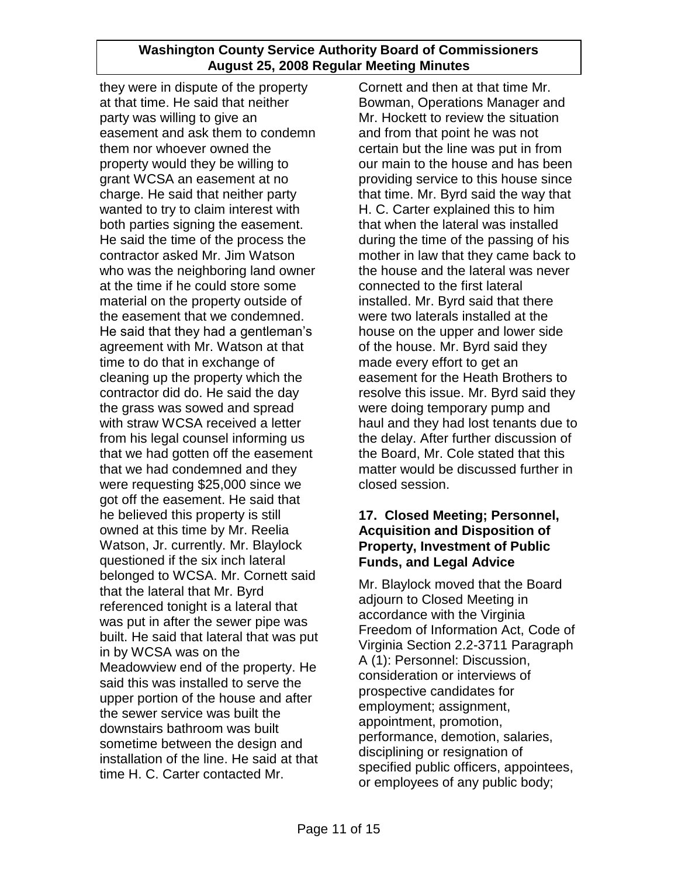they were in dispute of the property at that time. He said that neither party was willing to give an easement and ask them to condemn them nor whoever owned the property would they be willing to grant WCSA an easement at no charge. He said that neither party wanted to try to claim interest with both parties signing the easement. He said the time of the process the contractor asked Mr. Jim Watson who was the neighboring land owner at the time if he could store some material on the property outside of the easement that we condemned. He said that they had a gentleman"s agreement with Mr. Watson at that time to do that in exchange of cleaning up the property which the contractor did do. He said the day the grass was sowed and spread with straw WCSA received a letter from his legal counsel informing us that we had gotten off the easement that we had condemned and they were requesting \$25,000 since we got off the easement. He said that he believed this property is still owned at this time by Mr. Reelia Watson, Jr. currently. Mr. Blaylock questioned if the six inch lateral belonged to WCSA. Mr. Cornett said that the lateral that Mr. Byrd referenced tonight is a lateral that was put in after the sewer pipe was built. He said that lateral that was put in by WCSA was on the Meadowview end of the property. He said this was installed to serve the upper portion of the house and after the sewer service was built the downstairs bathroom was built sometime between the design and installation of the line. He said at that time H. C. Carter contacted Mr.

Cornett and then at that time Mr. Bowman, Operations Manager and Mr. Hockett to review the situation and from that point he was not certain but the line was put in from our main to the house and has been providing service to this house since that time. Mr. Byrd said the way that H. C. Carter explained this to him that when the lateral was installed during the time of the passing of his mother in law that they came back to the house and the lateral was never connected to the first lateral installed. Mr. Byrd said that there were two laterals installed at the house on the upper and lower side of the house. Mr. Byrd said they made every effort to get an easement for the Heath Brothers to resolve this issue. Mr. Byrd said they were doing temporary pump and haul and they had lost tenants due to the delay. After further discussion of the Board, Mr. Cole stated that this matter would be discussed further in closed session.

## **17. Closed Meeting; Personnel, Acquisition and Disposition of Property, Investment of Public Funds, and Legal Advice**

Mr. Blaylock moved that the Board adjourn to Closed Meeting in accordance with the Virginia Freedom of Information Act, Code of Virginia Section 2.2-3711 Paragraph A (1): Personnel: Discussion, consideration or interviews of prospective candidates for employment; assignment, appointment, promotion, performance, demotion, salaries, disciplining or resignation of specified public officers, appointees, or employees of any public body;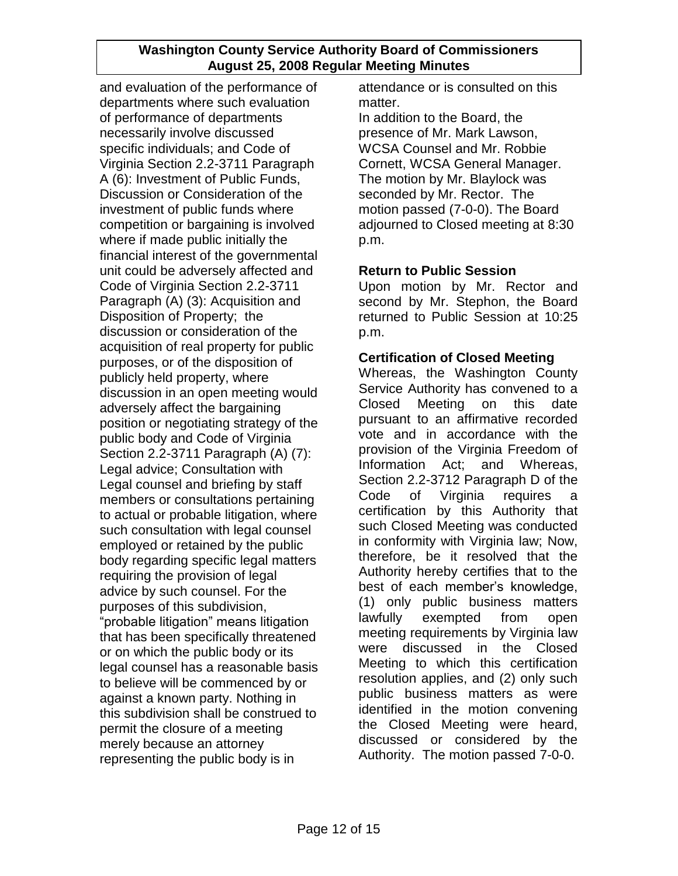and evaluation of the performance of departments where such evaluation of performance of departments necessarily involve discussed specific individuals; and Code of Virginia Section 2.2-3711 Paragraph A (6): Investment of Public Funds, Discussion or Consideration of the investment of public funds where competition or bargaining is involved where if made public initially the financial interest of the governmental unit could be adversely affected and Code of Virginia Section 2.2-3711 Paragraph (A) (3): Acquisition and Disposition of Property; the discussion or consideration of the acquisition of real property for public purposes, or of the disposition of publicly held property, where discussion in an open meeting would adversely affect the bargaining position or negotiating strategy of the public body and Code of Virginia Section 2.2-3711 Paragraph (A) (7): Legal advice; Consultation with Legal counsel and briefing by staff members or consultations pertaining to actual or probable litigation, where such consultation with legal counsel employed or retained by the public body regarding specific legal matters requiring the provision of legal advice by such counsel. For the purposes of this subdivision, "probable litigation" means litigation that has been specifically threatened or on which the public body or its legal counsel has a reasonable basis to believe will be commenced by or against a known party. Nothing in this subdivision shall be construed to permit the closure of a meeting merely because an attorney representing the public body is in

attendance or is consulted on this matter.

In addition to the Board, the presence of Mr. Mark Lawson, WCSA Counsel and Mr. Robbie Cornett, WCSA General Manager. The motion by Mr. Blaylock was seconded by Mr. Rector. The motion passed (7-0-0). The Board adjourned to Closed meeting at 8:30 p.m.

# **Return to Public Session**

Upon motion by Mr. Rector and second by Mr. Stephon, the Board returned to Public Session at 10:25 p.m.

# **Certification of Closed Meeting**

Whereas, the Washington County Service Authority has convened to a Closed Meeting on this date pursuant to an affirmative recorded vote and in accordance with the provision of the Virginia Freedom of Information Act; and Whereas, Section 2.2-3712 Paragraph D of the Code of Virginia requires a certification by this Authority that such Closed Meeting was conducted in conformity with Virginia law; Now, therefore, be it resolved that the Authority hereby certifies that to the best of each member"s knowledge, (1) only public business matters lawfully exempted from open meeting requirements by Virginia law were discussed in the Closed Meeting to which this certification resolution applies, and (2) only such public business matters as were identified in the motion convening the Closed Meeting were heard, discussed or considered by the Authority. The motion passed 7-0-0.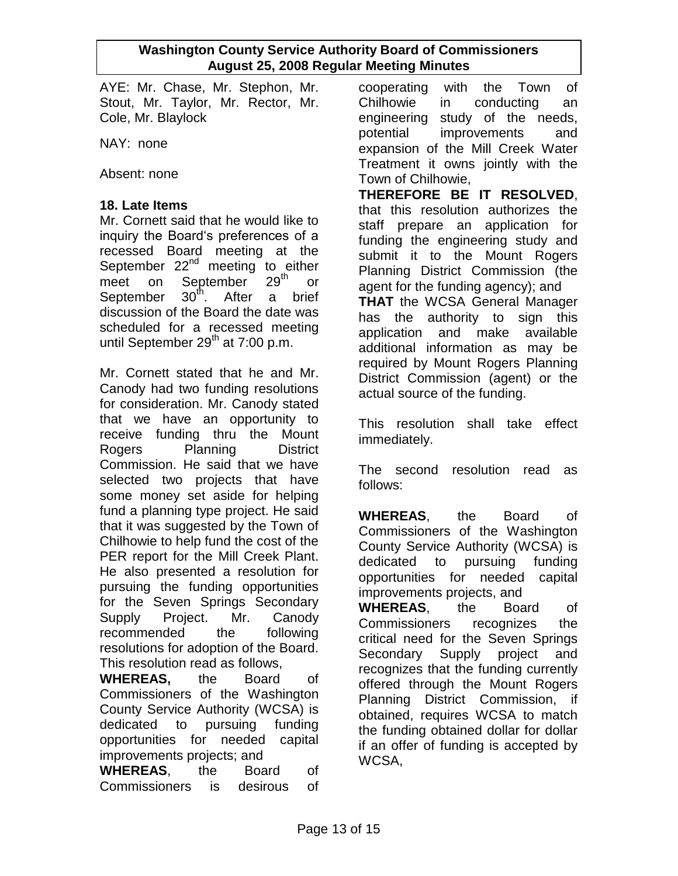AYE: Mr. Chase, Mr. Stephon, Mr. Stout, Mr. Taylor, Mr. Rector, Mr. Cole, Mr. Blaylock

NAY: none

Absent: none

## **18. Late Items**

Mr. Cornett said that he would like to inquiry the Board"s preferences of a recessed Board meeting at the September  $22^{nd}$  meeting to either<br>meet on September  $29^{th}$  or meet on September 29<sup>th</sup> or September  $30<sup>th</sup>$ . After a brief discussion of the Board the date was scheduled for a recessed meeting until September  $29<sup>th</sup>$  at 7:00 p.m.

Mr. Cornett stated that he and Mr. Canody had two funding resolutions for consideration. Mr. Canody stated that we have an opportunity to receive funding thru the Mount Rogers Planning District Commission. He said that we have selected two projects that have some money set aside for helping fund a planning type project. He said that it was suggested by the Town of Chilhowie to help fund the cost of the PER report for the Mill Creek Plant. He also presented a resolution for pursuing the funding opportunities for the Seven Springs Secondary Supply Project. Mr. Canody recommended the following resolutions for adoption of the Board. This resolution read as follows,

**WHEREAS,** the Board of Commissioners of the Washington County Service Authority (WCSA) is dedicated to pursuing funding opportunities for needed capital improvements projects; and

**WHEREAS**, the Board of Commissioners is desirous of cooperating with the Town of Chilhowie in conducting an engineering study of the needs, potential improvements and expansion of the Mill Creek Water Treatment it owns jointly with the Town of Chilhowie,

**THEREFORE BE IT RESOLVED**, that this resolution authorizes the staff prepare an application for funding the engineering study and submit it to the Mount Rogers Planning District Commission (the agent for the funding agency); and

**THAT** the WCSA General Manager has the authority to sign this application and make available additional information as may be required by Mount Rogers Planning District Commission (agent) or the actual source of the funding.

This resolution shall take effect immediately.

The second resolution read as follows:

**WHEREAS**, the Board of Commissioners of the Washington County Service Authority (WCSA) is dedicated to pursuing funding opportunities for needed capital improvements projects, and **WHEREAS**, the Board of Commissioners recognizes the critical need for the Seven Springs Secondary Supply project and recognizes that the funding currently offered through the Mount Rogers Planning District Commission, if obtained, requires WCSA to match the funding obtained dollar for dollar if an offer of funding is accepted by

WCSA,